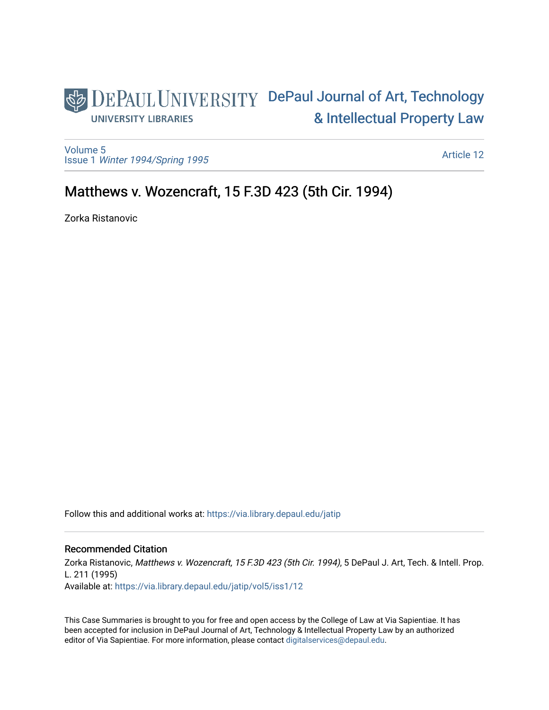## DEPAUL UNIVERSITY DePaul Journal of Art, Technology [& Intellectual Property Law](https://via.library.depaul.edu/jatip)  **UNIVERSITY LIBRARIES**

[Volume 5](https://via.library.depaul.edu/jatip/vol5) Issue 1 [Winter 1994/Spring 1995](https://via.library.depaul.edu/jatip/vol5/iss1)

[Article 12](https://via.library.depaul.edu/jatip/vol5/iss1/12) 

# Matthews v. Wozencraft, 15 F.3D 423 (5th Cir. 1994).

Zorka Ristanovic

Follow this and additional works at: [https://via.library.depaul.edu/jatip](https://via.library.depaul.edu/jatip?utm_source=via.library.depaul.edu%2Fjatip%2Fvol5%2Fiss1%2F12&utm_medium=PDF&utm_campaign=PDFCoverPages)

## Recommended Citation

Zorka Ristanovic, Matthews v. Wozencraft, 15 F.3D 423 (5th Cir. 1994), 5 DePaul J. Art, Tech. & Intell. Prop. L. 211 (1995)

Available at: [https://via.library.depaul.edu/jatip/vol5/iss1/12](https://via.library.depaul.edu/jatip/vol5/iss1/12?utm_source=via.library.depaul.edu%2Fjatip%2Fvol5%2Fiss1%2F12&utm_medium=PDF&utm_campaign=PDFCoverPages) 

This Case Summaries is brought to you for free and open access by the College of Law at Via Sapientiae. It has been accepted for inclusion in DePaul Journal of Art, Technology & Intellectual Property Law by an authorized editor of Via Sapientiae. For more information, please contact [digitalservices@depaul.edu](mailto:digitalservices@depaul.edu).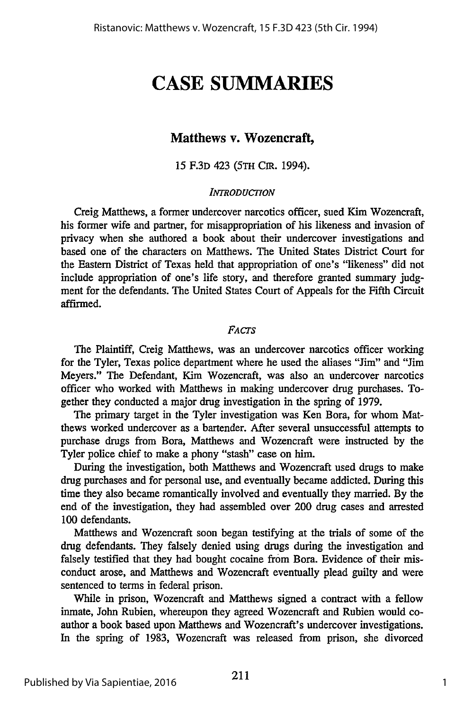# **CASE SUMMARIES**

## **Matthews v. Wozencraft,**

### **15 F.3D** 423 **(5TH** CiR. 1994).

#### *INTRODUCTION*

Creig Matthews, a former undercover narcotics officer, sued Kim Wozencraft, his former wife and partner, for misappropriation of his likeness and invasion of privacy when she authored a book about their undercover investigations and based one of the characters on Matthews. The United States District Court for the Eastern District of Texas held that appropriation of one's "likeness" did not include appropriation of one's life story, and therefore granted summary judgment for the defendants. The United States Court of Appeals for the Fifth Circuit affirmed.

#### *FAcTS*

The Plaintiff, Creig Matthews, was an undercover narcotics officer working for the Tyler, Texas police department where he used the aliases "Jim" and "Jim Meyers." The Defendant, Kim Wozencraft, was also an undercover narcotics officer who worked with Matthews in making undercover drug purchases. Together they conducted a major drug investigation in the spring of 1979.

The primary target in the Tyler investigation was Ken Bora, for whom Matthews worked undercover as a bartender. After several unsuccessful attempts to purchase drugs from Bora, Matthews and Wozencraft were instructed by the Tyler police chief to make a phony "stash" case on him.

During the investigation, both Matthews and Wozencraft used drugs to make drug purchases and for personal use, and eventually became addicted. During this time they also became romantically involved and eventually they married. By the end of the investigation, they had assembled over 200 drug cases and arrested 100 defendants.

Matthews and Wozencraft soon began testifying at the trials of some of the drug defendants. They falsely denied using drugs during the investigation and falsely testified that they had bought cocaine from Bora. Evidence of their misconduct arose, and Matthews and Wozencraft eventually plead guilty and were sentenced to terms in federal prison.

While in prison, Wozencraft and Matthews signed a contract with a fellow inmate, John Rubien, whereupon they agreed Wozencraft and Rubien would coauthor a book based upon Matthews and Wozencraft's undercover investigations. In the spring of 1983, Wozencraft was released from prison, she divorced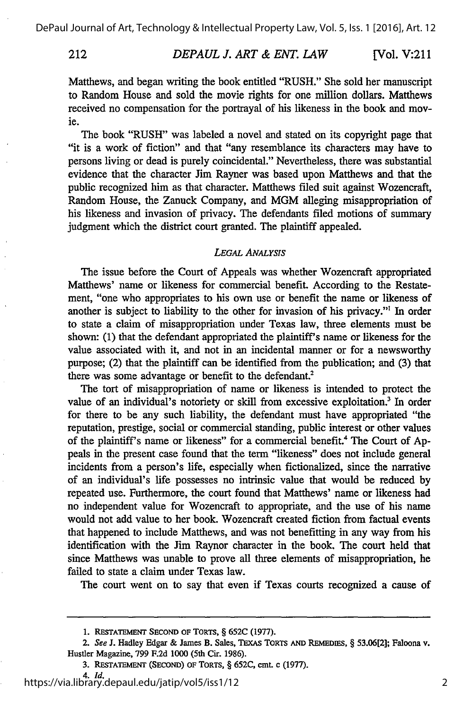### *DEPAUL J. ART & ENT. LAW* 212 **[Vol.** V:211

Matthews, and began writing the book entitled "RUSH." She sold her manuscript to Random House and sold the movie rights for one million dollars. Matthews received no compensation for the portrayal of his likeness in the book and movie.

The book "RUSH" was labeled a novel and stated on its copyright page that "it is a work of fiction" and that "any resemblance its characters may have to persons living or dead is purely coincidental." Nevertheless, there was substantial evidence that the character Jim Rayner was based upon Matthews and that the public recognized him as that character. Matthews filed suit against Wozencraft, Random House, the Zanuck Company, and MGM alleging misappropriation of his likeness and invasion of privacy. The defendants filed motions of summary judgment which the district court granted. The plaintiff appealed.

#### *LEGAL ANALYSIS*

The issue before the Court of Appeals was whether Wozencraft appropriated Matthews' name or likeness for commercial benefit. According to the Restatement, "one who appropriates to his own use or benefit the name or likeness of another is subject to liability to the other for invasion of his privacy."' In order to state a claim of misappropriation under Texas law, three elements must be shown: (1) that the defendant appropriated the plaintiff's name or likeness for the value associated with it, and not in an incidental manner or for a newsworthy purpose; (2) that the plaintiff can be identified from the publication; and (3) that there was some advantage or benefit to the defendant.<sup>2</sup>

The tort of misappropriation of name or likeness is intended to protect the value of an individual's notoriety or skill from excessive exploitation.<sup>3</sup> In order for there to be any such liability, the defendant must have appropriated "the reputation, prestige, social or commercial standing, public interest or other values of the plaintiff's name or likeness" for a commercial benefit.<sup>4</sup> The Court of Appeals in the present case found that the term "likeness" does not include general incidents from a person's life, especially when fictionalized, since the narrative of an individual's life possesses no intrinsic value that would be reduced by repeated use. Furthermore, the court found that Matthews' name or likeness had no independent value for Wozencraft to appropriate, and the use of his name would not add value to her book. Wozencraft created fiction from factual events that happened to include Matthews, and was not benefitting in any way from his identification with the Jim Raynor character in the book. The court held that since Matthews was unable to prove all three elements of misappropriation, he failed to state a claim under Texas law.

The court went on to say that even if Texas courts recognized a cause of

**<sup>1.</sup> RESTATEMENT SECOND OF** TORTs, § **652C (1977).**

*<sup>2.</sup> See* **J.** Hadley Edgar **&** Janes **B.** Sales, **TExAs TORTS AND** REMEDIES, § **53.06[2];** Faloona v. Hustler Magazine, **799 F.2d 1000** (5th Cir. **1986).**

**<sup>3.</sup> RESTATEMENT (SECOND)** OF ToRTS, § **652C,** cmt. **c (1977).**

*<sup>4.</sup> Id.* https://via.library.depaul.edu/jatip/vol5/iss1/12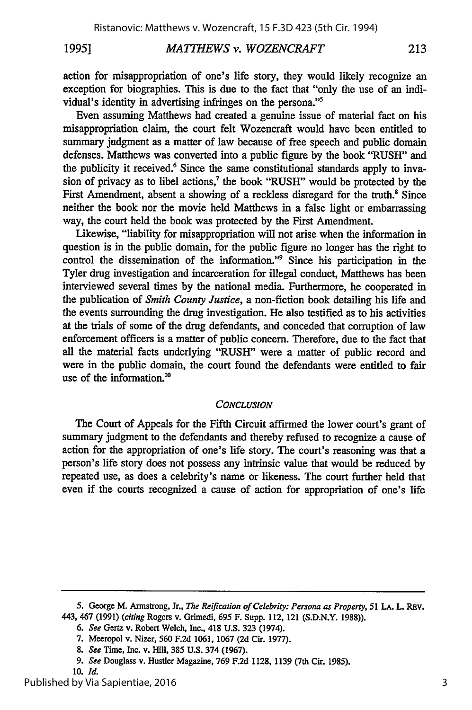action for misappropriation of one's life story, they would likely recognize an exception for biographies. This is due to the fact that "only the use of an individual's identity in advertising infringes on the persona."5

Even assuming Matthews had created a genuine issue of material fact on his misappropriation claim, the court felt Wozencraft would have been entitled to summary judgment as a matter of law because of free speech and public domain defenses. Matthews was converted into a public figure by the book "RUSH" and the publicity it received.<sup>6</sup> Since the same constitutional standards apply to invasion of privacy as to libel actions,<sup>7</sup> the book "RUSH" would be protected by the First Amendment, absent a showing of a reckless disregard for the truth.<sup>8</sup> Since neither the book nor the movie held Matthews in a false light or embarrassing way, the court held the book was protected by the First Amendment.

Likewise, "liability for misappropriation will not arise when the information in question is in the public domain, for the public figure no longer has the right to control the dissemination of the information." Since his participation in the Tyler drug investigation and incarceration for illegal conduct, Matthews has been interviewed several times by the national media. Furthermore, he cooperated in the publication of *Smith County Justice,* a non-fiction book detailing his life and the events surrounding the drug investigation. He also testified as to his activities at the trials of some of the drug defendants, and conceded that corruption of law enforcement officers is a matter of public concern. Therefore, due to the fact that all the material facts underlying "RUSH" were a matter of public record and were in the public domain, the court found the defendants were entitled to fair use of the information.<sup>10</sup>

#### *CONCLUSION*

The Court of Appeals for the Fifth Circuit affirmed the lower court's grant of summary judgment to the defendants and thereby refused to recognize a cause of action for the appropriation of one's life story. The court's reasoning was that a person's life story does not possess any intrinsic value that would be reduced by repeated use, as does a celebrity's name or likeness. The court further held that even if the courts recognized a cause of action for appropriation of one's life

**<sup>5.</sup>** George M. Armstrong, Jr., *The Reification of Celebrity: Persona as Property,* 51 **LA.** L. REv. 443, 467 **(1991)** (citing Rogers v. Grimedi, **695** F. Supp. 112, 121 **(S.D.N.Y. 1988)).**

**<sup>6.</sup> See** Gertz v. Robert Welch, Inc., 418 U.S. 323 (1974).

**<sup>7.</sup>** Meeropol **v.** Nizer, **560 F.2d 1061, 1067 (2d** Cir. **1977).**

*<sup>8.</sup> See* Time, Inc. v. Hill, **385 U.S.** 374 **(1967).**

*<sup>9.</sup> See* Douglass v. Hustler Magazine, **769 F.2d 1128, 1139** (7th Cir. **1985).**

**<sup>10.</sup>** *Id.*